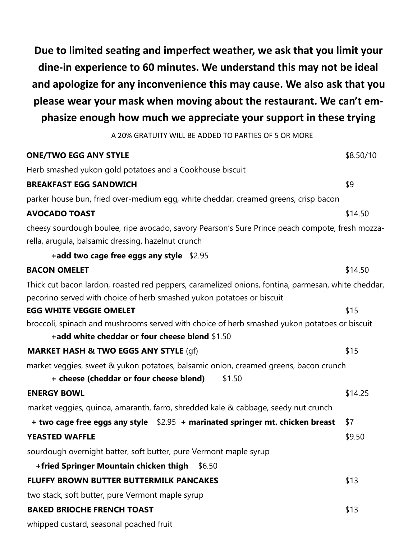**Due to limited seating and imperfect weather, we ask that you limit your dine-in experience to 60 minutes. We understand this may not be ideal and apologize for any inconvenience this may cause. We also ask that you please wear your mask when moving about the restaurant. We can't emphasize enough how much we appreciate your support in these trying** 

A 20% GRATUITY WILL BE ADDED TO PARTIES OF 5 OR MORE

| <b>ONE/TWO EGG ANY STYLE</b>                                                                       | \$8.50/10 |
|----------------------------------------------------------------------------------------------------|-----------|
| Herb smashed yukon gold potatoes and a Cookhouse biscuit                                           |           |
| <b>BREAKFAST EGG SANDWICH</b>                                                                      | \$9       |
| parker house bun, fried over-medium egg, white cheddar, creamed greens, crisp bacon                |           |
| <b>AVOCADO TOAST</b>                                                                               | \$14.50   |
| cheesy sourdough boulee, ripe avocado, savory Pearson's Sure Prince peach compote, fresh mozza-    |           |
| rella, arugula, balsamic dressing, hazelnut crunch                                                 |           |
| +add two cage free eggs any style \$2.95                                                           |           |
| <b>BACON OMELET</b>                                                                                | \$14.50   |
| Thick cut bacon lardon, roasted red peppers, caramelized onions, fontina, parmesan, white cheddar, |           |
| pecorino served with choice of herb smashed yukon potatoes or biscuit                              |           |
| <b>EGG WHITE VEGGIE OMELET</b>                                                                     | \$15      |
| broccoli, spinach and mushrooms served with choice of herb smashed yukon potatoes or biscuit       |           |
| +add white cheddar or four cheese blend \$1.50                                                     |           |
| <b>MARKET HASH &amp; TWO EGGS ANY STYLE (gf)</b>                                                   | \$15      |
| market veggies, sweet & yukon potatoes, balsamic onion, creamed greens, bacon crunch               |           |
| + cheese (cheddar or four cheese blend)<br>\$1.50                                                  |           |
| <b>ENERGY BOWL</b>                                                                                 | \$14.25   |
| market veggies, quinoa, amaranth, farro, shredded kale & cabbage, seedy nut crunch                 |           |
| + two cage free eggs any style $$2.95$ + marinated springer mt. chicken breast                     | \$7       |
| <b>YEASTED WAFFLE</b>                                                                              | \$9.50    |
| sourdough overnight batter, soft butter, pure Vermont maple syrup                                  |           |
| +fried Springer Mountain chicken thigh<br>\$6.50                                                   |           |
| <b>FLUFFY BROWN BUTTER BUTTERMILK PANCAKES</b>                                                     | \$13      |
| two stack, soft butter, pure Vermont maple syrup                                                   |           |
| <b>BAKED BRIOCHE FRENCH TOAST</b>                                                                  | \$13      |
| whipped custard, seasonal poached fruit                                                            |           |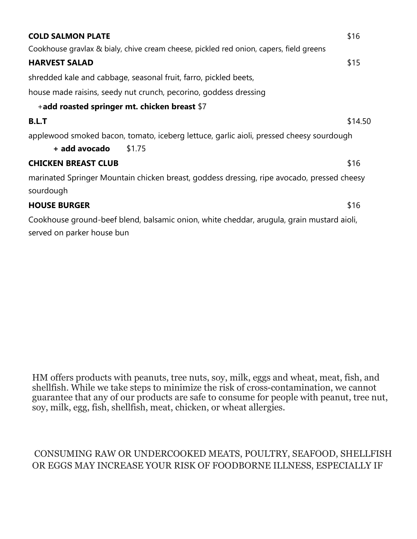| <b>COLD SALMON PLATE</b>                                                                                                | \$16    |
|-------------------------------------------------------------------------------------------------------------------------|---------|
| Cookhouse gravlax & bialy, chive cream cheese, pickled red onion, capers, field greens                                  |         |
| <b>HARVEST SALAD</b>                                                                                                    | \$15    |
| shredded kale and cabbage, seasonal fruit, farro, pickled beets,                                                        |         |
| house made raisins, seedy nut crunch, pecorino, goddess dressing                                                        |         |
| +add roasted springer mt. chicken breast $$7$                                                                           |         |
| <b>B.L.T</b>                                                                                                            | \$14.50 |
| applewood smoked bacon, tomato, iceberg lettuce, garlic aioli, pressed cheesy sourdough<br>+ add avocado<br>\$1.75      |         |
| <b>CHICKEN BREAST CLUB</b>                                                                                              | \$16    |
| marinated Springer Mountain chicken breast, goddess dressing, ripe avocado, pressed cheesy<br>sourdough                 |         |
| <b>HOUSE BURGER</b>                                                                                                     | \$16    |
| Cookhouse ground-beef blend, balsamic onion, white cheddar, arugula, grain mustard aioli,<br>served on parker house bun |         |

HM offers products with peanuts, tree nuts, soy, milk, eggs and wheat, meat, fish, and shellfish. While we take steps to minimize the risk of cross-contamination, we cannot guarantee that any of our products are safe to consume for people with peanut, tree nut, soy, milk, egg, fish, shellfish, meat, chicken, or wheat allergies.

## CONSUMING RAW OR UNDERCOOKED MEATS, POULTRY, SEAFOOD, SHELLFISH OR EGGS MAY INCREASE YOUR RISK OF FOODBORNE ILLNESS, ESPECIALLY IF